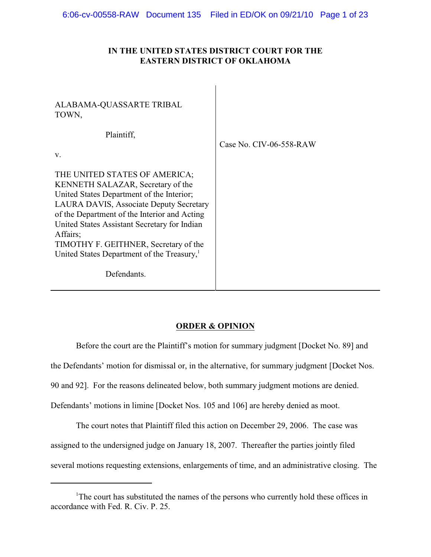# **IN THE UNITED STATES DISTRICT COURT FOR THE EASTERN DISTRICT OF OKLAHOMA**

| ALABAMA-QUASSARTE TRIBAL<br>TOWN,                                                                                                                                                                                                                                                                                                                                         |                         |
|---------------------------------------------------------------------------------------------------------------------------------------------------------------------------------------------------------------------------------------------------------------------------------------------------------------------------------------------------------------------------|-------------------------|
| Plaintiff,<br>V.                                                                                                                                                                                                                                                                                                                                                          | Case No. CIV-06-558-RAW |
| THE UNITED STATES OF AMERICA;<br>KENNETH SALAZAR, Secretary of the<br>United States Department of the Interior;<br>LAURA DAVIS, Associate Deputy Secretary<br>of the Department of the Interior and Acting<br>United States Assistant Secretary for Indian<br>Affairs;<br>TIMOTHY F. GEITHNER, Secretary of the<br>United States Department of the Treasury, <sup>1</sup> |                         |
| Defendants.                                                                                                                                                                                                                                                                                                                                                               |                         |

# **ORDER & OPINION**

Before the court are the Plaintiff's motion for summary judgment [Docket No. 89] and the Defendants' motion for dismissal or, in the alternative, for summary judgment [Docket Nos. 90 and 92]. For the reasons delineated below, both summary judgment motions are denied. Defendants' motions in limine [Docket Nos. 105 and 106] are hereby denied as moot.

The court notes that Plaintiff filed this action on December 29, 2006. The case was assigned to the undersigned judge on January 18, 2007. Thereafter the parties jointly filed several motions requesting extensions, enlargements of time, and an administrative closing. The

<sup>&</sup>lt;sup>1</sup>The court has substituted the names of the persons who currently hold these offices in accordance with Fed. R. Civ. P. 25.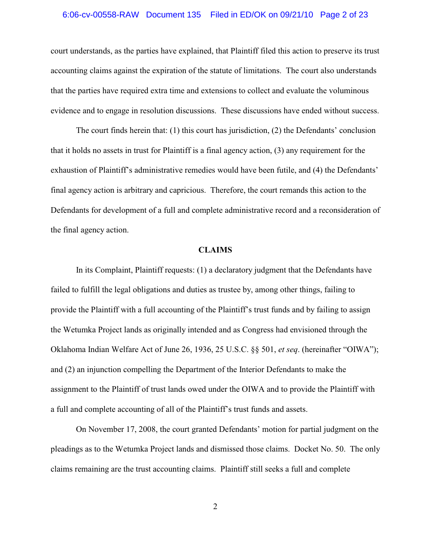# 6:06-cv-00558-RAW Document 135 Filed in ED/OK on 09/21/10 Page 2 of 23

court understands, as the parties have explained, that Plaintiff filed this action to preserve its trust accounting claims against the expiration of the statute of limitations. The court also understands that the parties have required extra time and extensions to collect and evaluate the voluminous evidence and to engage in resolution discussions. These discussions have ended without success.

The court finds herein that: (1) this court has jurisdiction, (2) the Defendants' conclusion that it holds no assets in trust for Plaintiff is a final agency action, (3) any requirement for the exhaustion of Plaintiff's administrative remedies would have been futile, and (4) the Defendants' final agency action is arbitrary and capricious. Therefore, the court remands this action to the Defendants for development of a full and complete administrative record and a reconsideration of the final agency action.

#### **CLAIMS**

In its Complaint, Plaintiff requests: (1) a declaratory judgment that the Defendants have failed to fulfill the legal obligations and duties as trustee by, among other things, failing to provide the Plaintiff with a full accounting of the Plaintiff's trust funds and by failing to assign the Wetumka Project lands as originally intended and as Congress had envisioned through the Oklahoma Indian Welfare Act of June 26, 1936, 25 U.S.C. §§ 501, *et seq*. (hereinafter "OIWA"); and (2) an injunction compelling the Department of the Interior Defendants to make the assignment to the Plaintiff of trust lands owed under the OIWA and to provide the Plaintiff with a full and complete accounting of all of the Plaintiff's trust funds and assets.

On November 17, 2008, the court granted Defendants' motion for partial judgment on the pleadings as to the Wetumka Project lands and dismissed those claims. Docket No. 50. The only claims remaining are the trust accounting claims. Plaintiff still seeks a full and complete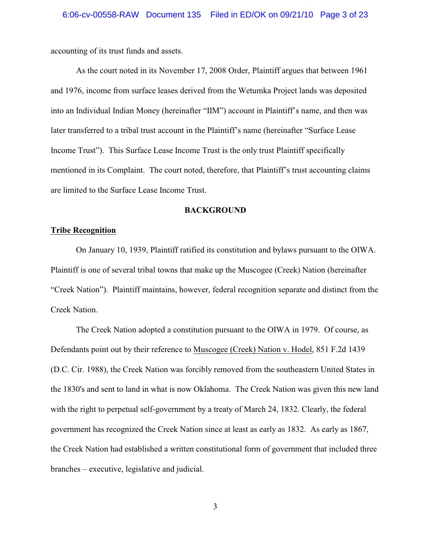accounting of its trust funds and assets.

As the court noted in its November 17, 2008 Order, Plaintiff argues that between 1961 and 1976, income from surface leases derived from the Wetumka Project lands was deposited into an Individual Indian Money (hereinafter "IIM") account in Plaintiff's name, and then was later transferred to a tribal trust account in the Plaintiff's name (hereinafter "Surface Lease Income Trust"). This Surface Lease Income Trust is the only trust Plaintiff specifically mentioned in its Complaint. The court noted, therefore, that Plaintiff's trust accounting claims are limited to the Surface Lease Income Trust.

### **BACKGROUND**

#### **Tribe Recognition**

On January 10, 1939, Plaintiff ratified its constitution and bylaws pursuant to the OIWA. Plaintiff is one of several tribal towns that make up the Muscogee (Creek) Nation (hereinafter "Creek Nation"). Plaintiff maintains, however, federal recognition separate and distinct from the Creek Nation.

The Creek Nation adopted a constitution pursuant to the OIWA in 1979. Of course, as Defendants point out by their reference to Muscogee (Creek) Nation v. Hodel, 851 F.2d 1439 (D.C. Cir. 1988), the Creek Nation was forcibly removed from the southeastern United States in the 1830's and sent to land in what is now Oklahoma. The Creek Nation was given this new land with the right to perpetual self-government by a treaty of March 24, 1832. Clearly, the federal government has recognized the Creek Nation since at least as early as 1832. As early as 1867, the Creek Nation had established a written constitutional form of government that included three branches – executive, legislative and judicial.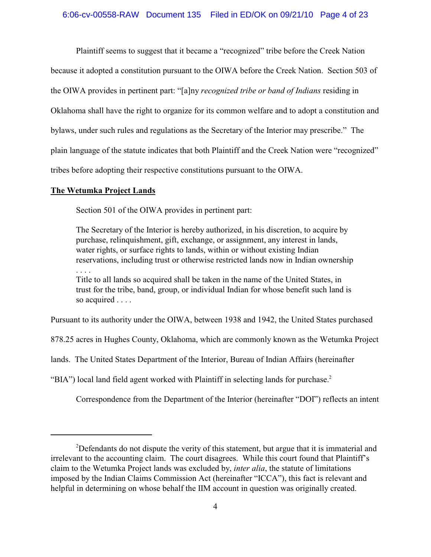Plaintiff seems to suggest that it became a "recognized" tribe before the Creek Nation because it adopted a constitution pursuant to the OIWA before the Creek Nation. Section 503 of the OIWA provides in pertinent part: "[a]ny *recognized tribe or band of Indians* residing in Oklahoma shall have the right to organize for its common welfare and to adopt a constitution and bylaws, under such rules and regulations as the Secretary of the Interior may prescribe." The plain language of the statute indicates that both Plaintiff and the Creek Nation were "recognized" tribes before adopting their respective constitutions pursuant to the OIWA.

### **The Wetumka Project Lands**

Section 501 of the OIWA provides in pertinent part:

The Secretary of the Interior is hereby authorized, in his discretion, to acquire by purchase, relinquishment, gift, exchange, or assignment, any interest in lands, water rights, or surface rights to lands, within or without existing Indian reservations, including trust or otherwise restricted lands now in Indian ownership . . . .

Title to all lands so acquired shall be taken in the name of the United States, in trust for the tribe, band, group, or individual Indian for whose benefit such land is so acquired . . . .

Pursuant to its authority under the OIWA, between 1938 and 1942, the United States purchased

878.25 acres in Hughes County, Oklahoma, which are commonly known as the Wetumka Project

lands. The United States Department of the Interior, Bureau of Indian Affairs (hereinafter

"BIA") local land field agent worked with Plaintiff in selecting lands for purchase.<sup>2</sup>

Correspondence from the Department of the Interior (hereinafter "DOI") reflects an intent

 $2$ Defendants do not dispute the verity of this statement, but argue that it is immaterial and irrelevant to the accounting claim. The court disagrees. While this court found that Plaintiff's claim to the Wetumka Project lands was excluded by, *inter alia*, the statute of limitations imposed by the Indian Claims Commission Act (hereinafter "ICCA"), this fact is relevant and helpful in determining on whose behalf the IIM account in question was originally created.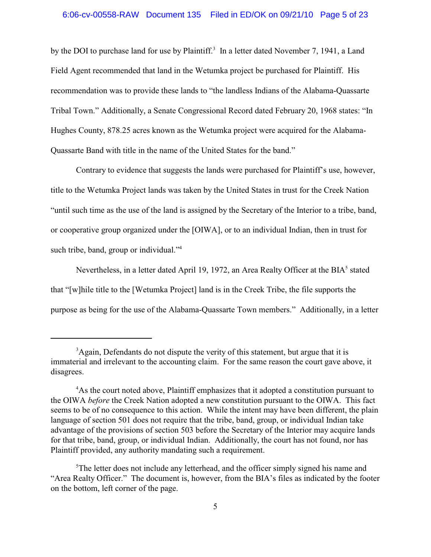by the DOI to purchase land for use by Plaintiff.<sup>3</sup> In a letter dated November 7, 1941, a Land Field Agent recommended that land in the Wetumka project be purchased for Plaintiff. His recommendation was to provide these lands to "the landless Indians of the Alabama-Quassarte Tribal Town." Additionally, a Senate Congressional Record dated February 20, 1968 states: "In Hughes County, 878.25 acres known as the Wetumka project were acquired for the Alabama-Quassarte Band with title in the name of the United States for the band."

Contrary to evidence that suggests the lands were purchased for Plaintiff's use, however, title to the Wetumka Project lands was taken by the United States in trust for the Creek Nation "until such time as the use of the land is assigned by the Secretary of the Interior to a tribe, band, or cooperative group organized under the [OIWA], or to an individual Indian, then in trust for such tribe, band, group or individual." $4$ 

Nevertheless, in a letter dated April 19, 1972, an Area Realty Officer at the  $BIA<sup>5</sup>$  stated that "[w]hile title to the [Wetumka Project] land is in the Creek Tribe, the file supports the purpose as being for the use of the Alabama-Quassarte Town members." Additionally, in a letter

<sup>&</sup>lt;sup>3</sup>Again, Defendants do not dispute the verity of this statement, but argue that it is immaterial and irrelevant to the accounting claim. For the same reason the court gave above, it disagrees.

<sup>&</sup>lt;sup>4</sup>As the court noted above, Plaintiff emphasizes that it adopted a constitution pursuant to the OIWA *before* the Creek Nation adopted a new constitution pursuant to the OIWA. This fact seems to be of no consequence to this action. While the intent may have been different, the plain language of section 501 does not require that the tribe, band, group, or individual Indian take advantage of the provisions of section 503 before the Secretary of the Interior may acquire lands for that tribe, band, group, or individual Indian. Additionally, the court has not found, nor has Plaintiff provided, any authority mandating such a requirement.

 $5$ The letter does not include any letterhead, and the officer simply signed his name and "Area Realty Officer." The document is, however, from the BIA's files as indicated by the footer on the bottom, left corner of the page.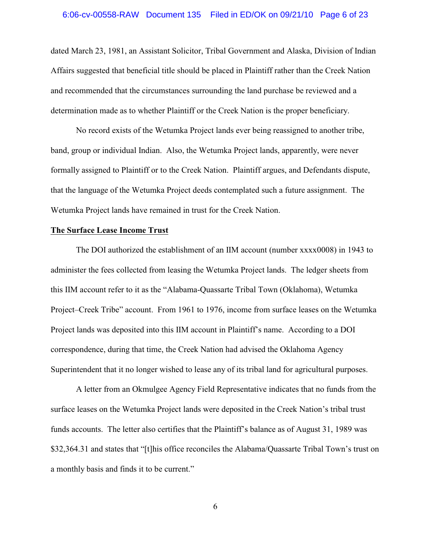#### 6:06-cv-00558-RAW Document 135 Filed in ED/OK on 09/21/10 Page 6 of 23

dated March 23, 1981, an Assistant Solicitor, Tribal Government and Alaska, Division of Indian Affairs suggested that beneficial title should be placed in Plaintiff rather than the Creek Nation and recommended that the circumstances surrounding the land purchase be reviewed and a determination made as to whether Plaintiff or the Creek Nation is the proper beneficiary.

No record exists of the Wetumka Project lands ever being reassigned to another tribe, band, group or individual Indian. Also, the Wetumka Project lands, apparently, were never formally assigned to Plaintiff or to the Creek Nation. Plaintiff argues, and Defendants dispute, that the language of the Wetumka Project deeds contemplated such a future assignment. The Wetumka Project lands have remained in trust for the Creek Nation.

### **The Surface Lease Income Trust**

The DOI authorized the establishment of an IIM account (number xxxx0008) in 1943 to administer the fees collected from leasing the Wetumka Project lands. The ledger sheets from this IIM account refer to it as the "Alabama-Quassarte Tribal Town (Oklahoma), Wetumka Project–Creek Tribe" account. From 1961 to 1976, income from surface leases on the Wetumka Project lands was deposited into this IIM account in Plaintiff's name. According to a DOI correspondence, during that time, the Creek Nation had advised the Oklahoma Agency Superintendent that it no longer wished to lease any of its tribal land for agricultural purposes.

A letter from an Okmulgee Agency Field Representative indicates that no funds from the surface leases on the Wetumka Project lands were deposited in the Creek Nation's tribal trust funds accounts. The letter also certifies that the Plaintiff's balance as of August 31, 1989 was \$32,364.31 and states that "[t]his office reconciles the Alabama/Quassarte Tribal Town's trust on a monthly basis and finds it to be current."

6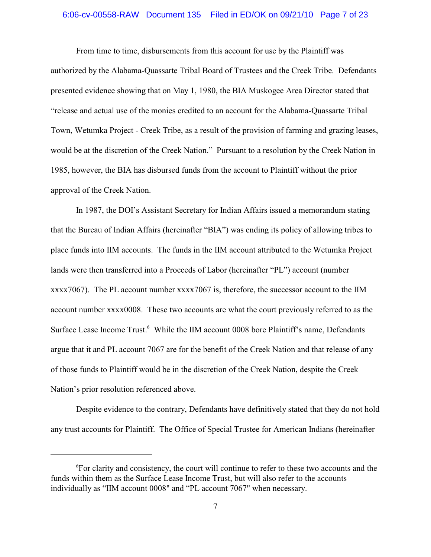# 6:06-cv-00558-RAW Document 135 Filed in ED/OK on 09/21/10 Page 7 of 23

From time to time, disbursements from this account for use by the Plaintiff was authorized by the Alabama-Quassarte Tribal Board of Trustees and the Creek Tribe. Defendants presented evidence showing that on May 1, 1980, the BIA Muskogee Area Director stated that "release and actual use of the monies credited to an account for the Alabama-Quassarte Tribal Town, Wetumka Project - Creek Tribe, as a result of the provision of farming and grazing leases, would be at the discretion of the Creek Nation." Pursuant to a resolution by the Creek Nation in 1985, however, the BIA has disbursed funds from the account to Plaintiff without the prior approval of the Creek Nation.

In 1987, the DOI's Assistant Secretary for Indian Affairs issued a memorandum stating that the Bureau of Indian Affairs (hereinafter "BIA") was ending its policy of allowing tribes to place funds into IIM accounts. The funds in the IIM account attributed to the Wetumka Project lands were then transferred into a Proceeds of Labor (hereinafter "PL") account (number xxxx7067). The PL account number xxxx7067 is, therefore, the successor account to the IIM account number xxxx0008. These two accounts are what the court previously referred to as the Surface Lease Income Trust.<sup>6</sup> While the IIM account 0008 bore Plaintiff's name, Defendants argue that it and PL account 7067 are for the benefit of the Creek Nation and that release of any of those funds to Plaintiff would be in the discretion of the Creek Nation, despite the Creek Nation's prior resolution referenced above.

Despite evidence to the contrary, Defendants have definitively stated that they do not hold any trust accounts for Plaintiff. The Office of Special Trustee for American Indians (hereinafter

<sup>&</sup>lt;sup>6</sup>For clarity and consistency, the court will continue to refer to these two accounts and the funds within them as the Surface Lease Income Trust, but will also refer to the accounts individually as "IIM account 0008" and "PL account 7067" when necessary.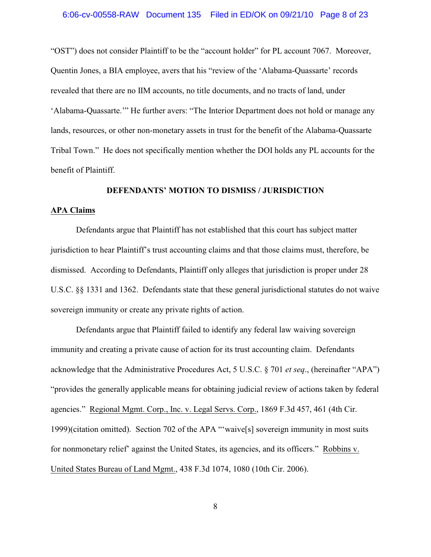#### 6:06-cv-00558-RAW Document 135 Filed in ED/OK on 09/21/10 Page 8 of 23

"OST") does not consider Plaintiff to be the "account holder" for PL account 7067. Moreover, Quentin Jones, a BIA employee, avers that his "review of the 'Alabama-Quassarte' records revealed that there are no IIM accounts, no title documents, and no tracts of land, under 'Alabama-Quassarte.'" He further avers: "The Interior Department does not hold or manage any lands, resources, or other non-monetary assets in trust for the benefit of the Alabama-Quassarte Tribal Town." He does not specifically mention whether the DOI holds any PL accounts for the benefit of Plaintiff.

## **DEFENDANTS' MOTION TO DISMISS / JURISDICTION**

#### **APA Claims**

Defendants argue that Plaintiff has not established that this court has subject matter jurisdiction to hear Plaintiff's trust accounting claims and that those claims must, therefore, be dismissed. According to Defendants, Plaintiff only alleges that jurisdiction is proper under 28 U.S.C. §§ 1331 and 1362. Defendants state that these general jurisdictional statutes do not waive sovereign immunity or create any private rights of action.

Defendants argue that Plaintiff failed to identify any federal law waiving sovereign immunity and creating a private cause of action for its trust accounting claim. Defendants acknowledge that the Administrative Procedures Act, 5 U.S.C. § 701 *et seq*., (hereinafter "APA") "provides the generally applicable means for obtaining judicial review of actions taken by federal agencies." Regional Mgmt. Corp., Inc. v. Legal Servs. Corp., 1869 F.3d 457, 461 (4th Cir. 1999)(citation omitted). Section 702 of the APA "'waive[s] sovereign immunity in most suits for nonmonetary relief' against the United States, its agencies, and its officers." Robbins v. United States Bureau of Land Mgmt., 438 F.3d 1074, 1080 (10th Cir. 2006).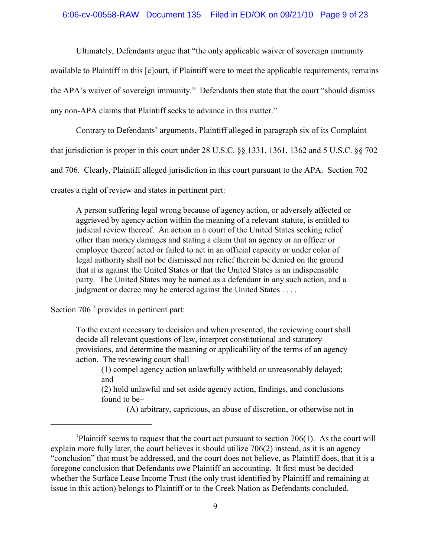#### 6:06-cv-00558-RAW Document 135 Filed in ED/OK on 09/21/10 Page 9 of 23

Ultimately, Defendants argue that "the only applicable waiver of sovereign immunity available to Plaintiff in this [c]ourt, if Plaintiff were to meet the applicable requirements, remains the APA's waiver of sovereign immunity." Defendants then state that the court "should dismiss

any non-APA claims that Plaintiff seeks to advance in this matter."

Contrary to Defendants' arguments, Plaintiff alleged in paragraph six of its Complaint that jurisdiction is proper in this court under 28 U.S.C. §§ 1331, 1361, 1362 and 5 U.S.C. §§ 702 and 706. Clearly, Plaintiff alleged jurisdiction in this court pursuant to the APA. Section 702

creates a right of review and states in pertinent part:

A person suffering legal wrong because of agency action, or adversely affected or aggrieved by agency action within the meaning of a relevant statute, is entitled to judicial review thereof. An action in a court of the United States seeking relief other than money damages and stating a claim that an agency or an officer or employee thereof acted or failed to act in an official capacity or under color of legal authority shall not be dismissed nor relief therein be denied on the ground that it is against the United States or that the United States is an indispensable party. The United States may be named as a defendant in any such action, and a judgment or decree may be entered against the United States . . . .

Section 706 $<sup>7</sup>$  provides in pertinent part:</sup>

To the extent necessary to decision and when presented, the reviewing court shall decide all relevant questions of law, interpret constitutional and statutory provisions, and determine the meaning or applicability of the terms of an agency action. The reviewing court shall–

(1) compel agency action unlawfully withheld or unreasonably delayed; and

(2) hold unlawful and set aside agency action, findings, and conclusions found to be–

(A) arbitrary, capricious, an abuse of discretion, or otherwise not in

Plaintiff seems to request that the court act pursuant to section 706(1). As the court will explain more fully later, the court believes it should utilize 706(2) instead, as it is an agency "conclusion" that must be addressed, and the court does not believe, as Plaintiff does, that it is a foregone conclusion that Defendants owe Plaintiff an accounting. It first must be decided whether the Surface Lease Income Trust (the only trust identified by Plaintiff and remaining at issue in this action) belongs to Plaintiff or to the Creek Nation as Defendants concluded.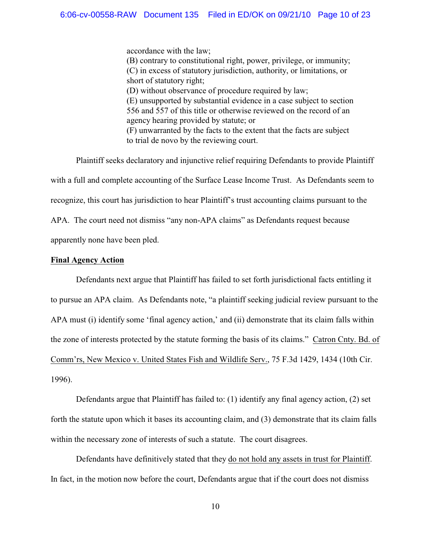accordance with the law; (B) contrary to constitutional right, power, privilege, or immunity; (C) in excess of statutory jurisdiction, authority, or limitations, or short of statutory right; (D) without observance of procedure required by law; (E) unsupported by substantial evidence in a case subject to section 556 and 557 of this title or otherwise reviewed on the record of an agency hearing provided by statute; or (F) unwarranted by the facts to the extent that the facts are subject to trial de novo by the reviewing court.

Plaintiff seeks declaratory and injunctive relief requiring Defendants to provide Plaintiff with a full and complete accounting of the Surface Lease Income Trust. As Defendants seem to recognize, this court has jurisdiction to hear Plaintiff's trust accounting claims pursuant to the APA. The court need not dismiss "any non-APA claims" as Defendants request because apparently none have been pled.

## **Final Agency Action**

Defendants next argue that Plaintiff has failed to set forth jurisdictional facts entitling it to pursue an APA claim. As Defendants note, "a plaintiff seeking judicial review pursuant to the APA must (i) identify some 'final agency action,' and (ii) demonstrate that its claim falls within the zone of interests protected by the statute forming the basis of its claims." Catron Cnty. Bd. of Comm'rs, New Mexico v. United States Fish and Wildlife Serv., 75 F.3d 1429, 1434 (10th Cir. 1996).

Defendants argue that Plaintiff has failed to: (1) identify any final agency action, (2) set forth the statute upon which it bases its accounting claim, and (3) demonstrate that its claim falls within the necessary zone of interests of such a statute. The court disagrees.

Defendants have definitively stated that they do not hold any assets in trust for Plaintiff. In fact, in the motion now before the court, Defendants argue that if the court does not dismiss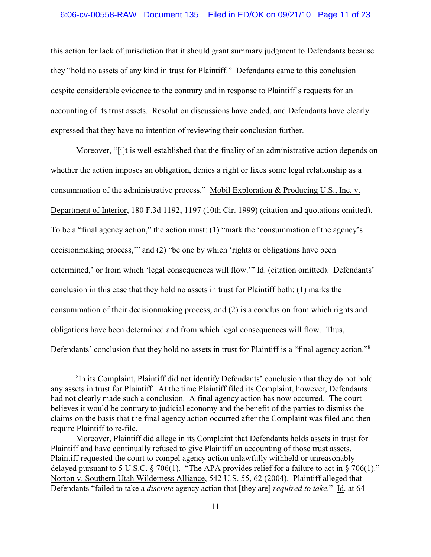this action for lack of jurisdiction that it should grant summary judgment to Defendants because they "hold no assets of any kind in trust for Plaintiff." Defendants came to this conclusion despite considerable evidence to the contrary and in response to Plaintiff's requests for an accounting of its trust assets. Resolution discussions have ended, and Defendants have clearly expressed that they have no intention of reviewing their conclusion further.

Moreover, "[i]t is well established that the finality of an administrative action depends on whether the action imposes an obligation, denies a right or fixes some legal relationship as a consummation of the administrative process." Mobil Exploration & Producing U.S., Inc. v. Department of Interior, 180 F.3d 1192, 1197 (10th Cir. 1999) (citation and quotations omitted). To be a "final agency action," the action must: (1) "mark the 'consummation of the agency's decisionmaking process,'" and (2) "be one by which 'rights or obligations have been determined,' or from which 'legal consequences will flow.'" Id. (citation omitted). Defendants' conclusion in this case that they hold no assets in trust for Plaintiff both: (1) marks the consummation of their decisionmaking process, and (2) is a conclusion from which rights and obligations have been determined and from which legal consequences will flow. Thus, Defendants' conclusion that they hold no assets in trust for Plaintiff is a "final agency action."<sup>8</sup>

<sup>&</sup>lt;sup>8</sup>In its Complaint, Plaintiff did not identify Defendants' conclusion that they do not hold any assets in trust for Plaintiff. At the time Plaintiff filed its Complaint, however, Defendants had not clearly made such a conclusion. A final agency action has now occurred. The court believes it would be contrary to judicial economy and the benefit of the parties to dismiss the claims on the basis that the final agency action occurred after the Complaint was filed and then require Plaintiff to re-file.

Moreover, Plaintiff did allege in its Complaint that Defendants holds assets in trust for Plaintiff and have continually refused to give Plaintiff an accounting of those trust assets. Plaintiff requested the court to compel agency action unlawfully withheld or unreasonably delayed pursuant to 5 U.S.C.  $\S$  706(1). "The APA provides relief for a failure to act in  $\S$  706(1)." Norton v. Southern Utah Wilderness Alliance, 542 U.S. 55, 62 (2004). Plaintiff alleged that Defendants "failed to take a *discrete* agency action that [they are] *required to take*." Id. at 64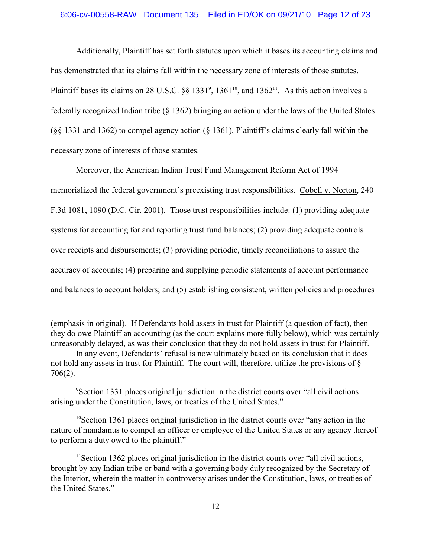#### 6:06-cv-00558-RAW Document 135 Filed in ED/OK on 09/21/10 Page 12 of 23

Additionally, Plaintiff has set forth statutes upon which it bases its accounting claims and has demonstrated that its claims fall within the necessary zone of interests of those statutes. Plaintiff bases its claims on 28 U.S.C.  $\S$ § 1331<sup>9</sup>, 1361<sup>10</sup>, and 1362<sup>11</sup>. As this action involves a federally recognized Indian tribe (§ 1362) bringing an action under the laws of the United States (§§ 1331 and 1362) to compel agency action (§ 1361), Plaintiff's claims clearly fall within the necessary zone of interests of those statutes.

Moreover, the American Indian Trust Fund Management Reform Act of 1994 memorialized the federal government's preexisting trust responsibilities. Cobell v. Norton, 240 F.3d 1081, 1090 (D.C. Cir. 2001). Those trust responsibilities include: (1) providing adequate systems for accounting for and reporting trust fund balances; (2) providing adequate controls over receipts and disbursements; (3) providing periodic, timely reconciliations to assure the accuracy of accounts; (4) preparing and supplying periodic statements of account performance and balances to account holders; and (5) establishing consistent, written policies and procedures

<sup>(</sup>emphasis in original). If Defendants hold assets in trust for Plaintiff (a question of fact), then they do owe Plaintiff an accounting (as the court explains more fully below), which was certainly unreasonably delayed, as was their conclusion that they do not hold assets in trust for Plaintiff.

In any event, Defendants' refusal is now ultimately based on its conclusion that it does not hold any assets in trust for Plaintiff. The court will, therefore, utilize the provisions of  $\S$ 706(2).

<sup>&</sup>lt;sup>9</sup> Section 1331 places original jurisdiction in the district courts over "all civil actions" arising under the Constitution, laws, or treaties of the United States."

 $10$ Section 1361 places original jurisdiction in the district courts over "any action in the nature of mandamus to compel an officer or employee of the United States or any agency thereof to perform a duty owed to the plaintiff."

<sup>&</sup>lt;sup>11</sup> Section 1362 places original jurisdiction in the district courts over "all civil actions, brought by any Indian tribe or band with a governing body duly recognized by the Secretary of the Interior, wherein the matter in controversy arises under the Constitution, laws, or treaties of the United States."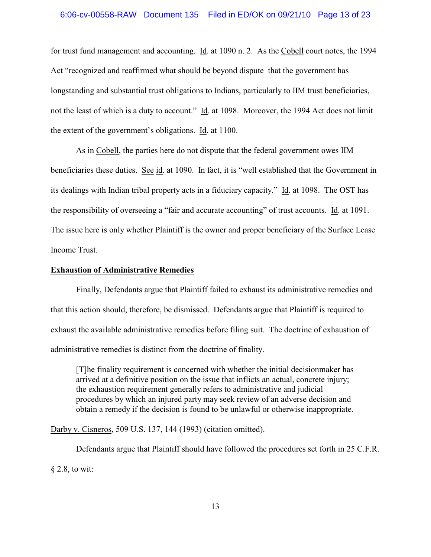for trust fund management and accounting. Id. at 1090 n. 2. As the Cobell court notes, the 1994 Act "recognized and reaffirmed what should be beyond dispute–that the government has longstanding and substantial trust obligations to Indians, particularly to IIM trust beneficiaries, not the least of which is a duty to account." Id. at 1098. Moreover, the 1994 Act does not limit the extent of the government's obligations. Id. at 1100.

As in Cobell, the parties here do not dispute that the federal government owes IIM beneficiaries these duties. See id. at 1090. In fact, it is "well established that the Government in its dealings with Indian tribal property acts in a fiduciary capacity." Id. at 1098. The OST has the responsibility of overseeing a "fair and accurate accounting" of trust accounts. Id. at 1091. The issue here is only whether Plaintiff is the owner and proper beneficiary of the Surface Lease Income Trust.

#### **Exhaustion of Administrative Remedies**

Finally, Defendants argue that Plaintiff failed to exhaust its administrative remedies and that this action should, therefore, be dismissed. Defendants argue that Plaintiff is required to exhaust the available administrative remedies before filing suit. The doctrine of exhaustion of administrative remedies is distinct from the doctrine of finality.

[T]he finality requirement is concerned with whether the initial decisionmaker has arrived at a definitive position on the issue that inflicts an actual, concrete injury; the exhaustion requirement generally refers to administrative and judicial procedures by which an injured party may seek review of an adverse decision and obtain a remedy if the decision is found to be unlawful or otherwise inappropriate.

Darby v. Cisneros, 509 U.S. 137, 144 (1993) (citation omitted).

Defendants argue that Plaintiff should have followed the procedures set forth in 25 C.F.R. § 2.8, to wit: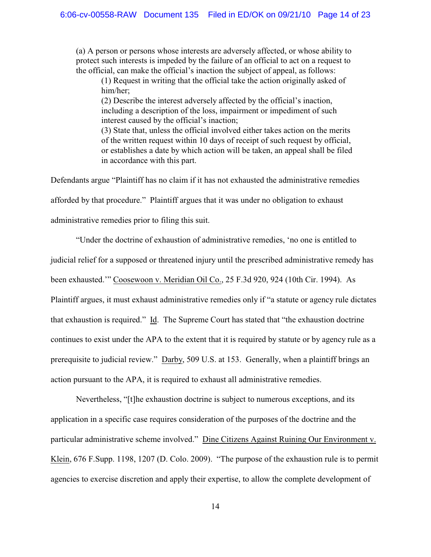(a) A person or persons whose interests are adversely affected, or whose ability to protect such interests is impeded by the failure of an official to act on a request to the official, can make the official's inaction the subject of appeal, as follows:

(1) Request in writing that the official take the action originally asked of him/her;

(2) Describe the interest adversely affected by the official's inaction, including a description of the loss, impairment or impediment of such interest caused by the official's inaction;

(3) State that, unless the official involved either takes action on the merits of the written request within 10 days of receipt of such request by official, or establishes a date by which action will be taken, an appeal shall be filed in accordance with this part.

Defendants argue "Plaintiff has no claim if it has not exhausted the administrative remedies afforded by that procedure." Plaintiff argues that it was under no obligation to exhaust administrative remedies prior to filing this suit.

"Under the doctrine of exhaustion of administrative remedies, 'no one is entitled to judicial relief for a supposed or threatened injury until the prescribed administrative remedy has been exhausted.'" Coosewoon v. Meridian Oil Co., 25 F.3d 920, 924 (10th Cir. 1994). As Plaintiff argues, it must exhaust administrative remedies only if "a statute or agency rule dictates that exhaustion is required." Id. The Supreme Court has stated that "the exhaustion doctrine continues to exist under the APA to the extent that it is required by statute or by agency rule as a prerequisite to judicial review." Darby, 509 U.S. at 153. Generally, when a plaintiff brings an action pursuant to the APA, it is required to exhaust all administrative remedies.

Nevertheless, "[t]he exhaustion doctrine is subject to numerous exceptions, and its application in a specific case requires consideration of the purposes of the doctrine and the particular administrative scheme involved." Dine Citizens Against Ruining Our Environment v. Klein, 676 F.Supp. 1198, 1207 (D. Colo. 2009). "The purpose of the exhaustion rule is to permit agencies to exercise discretion and apply their expertise, to allow the complete development of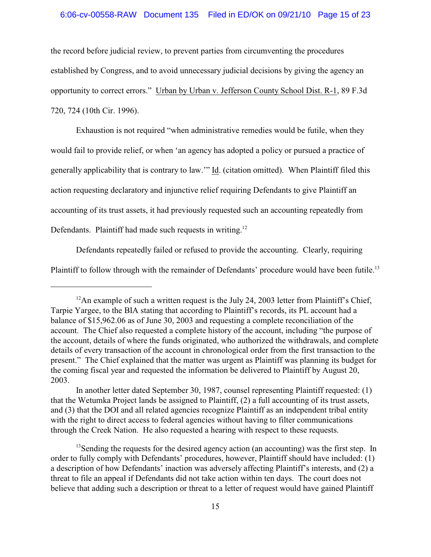#### 6:06-cv-00558-RAW Document 135 Filed in ED/OK on 09/21/10 Page 15 of 23

the record before judicial review, to prevent parties from circumventing the procedures established by Congress, and to avoid unnecessary judicial decisions by giving the agency an opportunity to correct errors." Urban by Urban v. Jefferson County School Dist. R-1, 89 F.3d 720, 724 (10th Cir. 1996).

Exhaustion is not required "when administrative remedies would be futile, when they would fail to provide relief, or when 'an agency has adopted a policy or pursued a practice of generally applicability that is contrary to law.'" Id. (citation omitted). When Plaintiff filed this action requesting declaratory and injunctive relief requiring Defendants to give Plaintiff an accounting of its trust assets, it had previously requested such an accounting repeatedly from Defendants. Plaintiff had made such requests in writing.<sup>12</sup>

Defendants repeatedly failed or refused to provide the accounting. Clearly, requiring Plaintiff to follow through with the remainder of Defendants' procedure would have been futile.<sup>13</sup>

<sup>&</sup>lt;sup>12</sup>An example of such a written request is the July 24, 2003 letter from Plaintiff's Chief, Tarpie Yargee, to the BIA stating that according to Plaintiff's records, its PL account had a balance of \$15,962.06 as of June 30, 2003 and requesting a complete reconciliation of the account. The Chief also requested a complete history of the account, including "the purpose of the account, details of where the funds originated, who authorized the withdrawals, and complete details of every transaction of the account in chronological order from the first transaction to the present." The Chief explained that the matter was urgent as Plaintiff was planning its budget for the coming fiscal year and requested the information be delivered to Plaintiff by August 20, 2003.

In another letter dated September 30, 1987, counsel representing Plaintiff requested: (1) that the Wetumka Project lands be assigned to Plaintiff, (2) a full accounting of its trust assets, and (3) that the DOI and all related agencies recognize Plaintiff as an independent tribal entity with the right to direct access to federal agencies without having to filter communications through the Creek Nation. He also requested a hearing with respect to these requests.

 $<sup>13</sup>$ Sending the requests for the desired agency action (an accounting) was the first step. In</sup> order to fully comply with Defendants' procedures, however, Plaintiff should have included: (1) a description of how Defendants' inaction was adversely affecting Plaintiff's interests, and (2) a threat to file an appeal if Defendants did not take action within ten days. The court does not believe that adding such a description or threat to a letter of request would have gained Plaintiff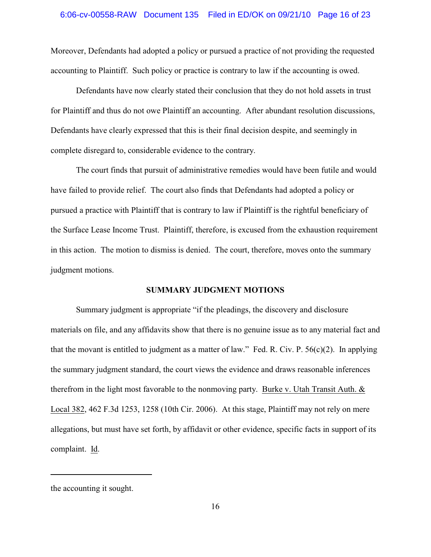Moreover, Defendants had adopted a policy or pursued a practice of not providing the requested accounting to Plaintiff. Such policy or practice is contrary to law if the accounting is owed.

Defendants have now clearly stated their conclusion that they do not hold assets in trust for Plaintiff and thus do not owe Plaintiff an accounting. After abundant resolution discussions, Defendants have clearly expressed that this is their final decision despite, and seemingly in complete disregard to, considerable evidence to the contrary.

The court finds that pursuit of administrative remedies would have been futile and would have failed to provide relief. The court also finds that Defendants had adopted a policy or pursued a practice with Plaintiff that is contrary to law if Plaintiff is the rightful beneficiary of the Surface Lease Income Trust. Plaintiff, therefore, is excused from the exhaustion requirement in this action. The motion to dismiss is denied. The court, therefore, moves onto the summary judgment motions.

## **SUMMARY JUDGMENT MOTIONS**

Summary judgment is appropriate "if the pleadings, the discovery and disclosure materials on file, and any affidavits show that there is no genuine issue as to any material fact and that the movant is entitled to judgment as a matter of law." Fed. R. Civ. P. 56(c)(2). In applying the summary judgment standard, the court views the evidence and draws reasonable inferences therefrom in the light most favorable to the nonmoving party. Burke v. Utah Transit Auth. & Local 382, 462 F.3d 1253, 1258 (10th Cir. 2006). At this stage, Plaintiff may not rely on mere allegations, but must have set forth, by affidavit or other evidence, specific facts in support of its complaint. Id.

the accounting it sought.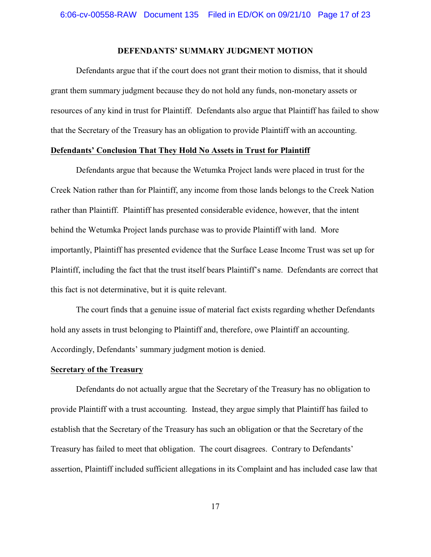## **DEFENDANTS' SUMMARY JUDGMENT MOTION**

Defendants argue that if the court does not grant their motion to dismiss, that it should grant them summary judgment because they do not hold any funds, non-monetary assets or resources of any kind in trust for Plaintiff. Defendants also argue that Plaintiff has failed to show that the Secretary of the Treasury has an obligation to provide Plaintiff with an accounting.

## **Defendants' Conclusion That They Hold No Assets in Trust for Plaintiff**

Defendants argue that because the Wetumka Project lands were placed in trust for the Creek Nation rather than for Plaintiff, any income from those lands belongs to the Creek Nation rather than Plaintiff. Plaintiff has presented considerable evidence, however, that the intent behind the Wetumka Project lands purchase was to provide Plaintiff with land. More importantly, Plaintiff has presented evidence that the Surface Lease Income Trust was set up for Plaintiff, including the fact that the trust itself bears Plaintiff's name. Defendants are correct that this fact is not determinative, but it is quite relevant.

The court finds that a genuine issue of material fact exists regarding whether Defendants hold any assets in trust belonging to Plaintiff and, therefore, owe Plaintiff an accounting. Accordingly, Defendants' summary judgment motion is denied.

#### **Secretary of the Treasury**

Defendants do not actually argue that the Secretary of the Treasury has no obligation to provide Plaintiff with a trust accounting. Instead, they argue simply that Plaintiff has failed to establish that the Secretary of the Treasury has such an obligation or that the Secretary of the Treasury has failed to meet that obligation. The court disagrees. Contrary to Defendants' assertion, Plaintiff included sufficient allegations in its Complaint and has included case law that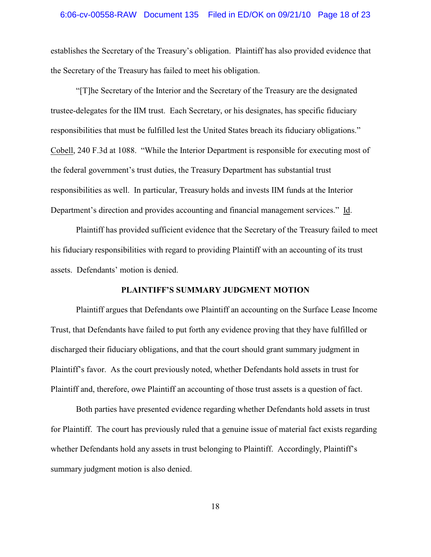#### 6:06-cv-00558-RAW Document 135 Filed in ED/OK on 09/21/10 Page 18 of 23

establishes the Secretary of the Treasury's obligation. Plaintiff has also provided evidence that the Secretary of the Treasury has failed to meet his obligation.

"[T]he Secretary of the Interior and the Secretary of the Treasury are the designated trustee-delegates for the IIM trust. Each Secretary, or his designates, has specific fiduciary responsibilities that must be fulfilled lest the United States breach its fiduciary obligations." Cobell, 240 F.3d at 1088. "While the Interior Department is responsible for executing most of the federal government's trust duties, the Treasury Department has substantial trust responsibilities as well. In particular, Treasury holds and invests IIM funds at the Interior Department's direction and provides accounting and financial management services." Id.

Plaintiff has provided sufficient evidence that the Secretary of the Treasury failed to meet his fiduciary responsibilities with regard to providing Plaintiff with an accounting of its trust assets. Defendants' motion is denied.

## **PLAINTIFF'S SUMMARY JUDGMENT MOTION**

Plaintiff argues that Defendants owe Plaintiff an accounting on the Surface Lease Income Trust, that Defendants have failed to put forth any evidence proving that they have fulfilled or discharged their fiduciary obligations, and that the court should grant summary judgment in Plaintiff's favor. As the court previously noted, whether Defendants hold assets in trust for Plaintiff and, therefore, owe Plaintiff an accounting of those trust assets is a question of fact.

Both parties have presented evidence regarding whether Defendants hold assets in trust for Plaintiff. The court has previously ruled that a genuine issue of material fact exists regarding whether Defendants hold any assets in trust belonging to Plaintiff. Accordingly, Plaintiff's summary judgment motion is also denied.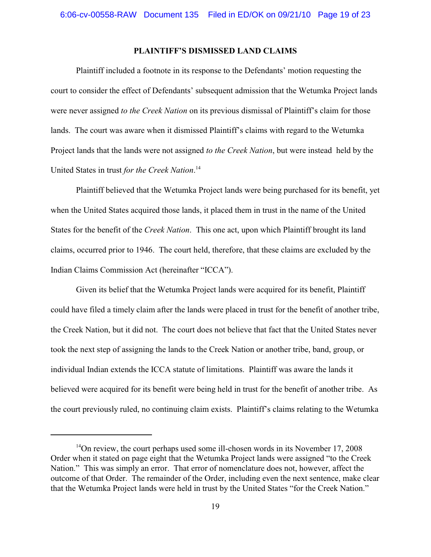## **PLAINTIFF'S DISMISSED LAND CLAIMS**

Plaintiff included a footnote in its response to the Defendants' motion requesting the court to consider the effect of Defendants' subsequent admission that the Wetumka Project lands were never assigned *to the Creek Nation* on its previous dismissal of Plaintiff's claim for those lands. The court was aware when it dismissed Plaintiff's claims with regard to the Wetumka Project lands that the lands were not assigned *to the Creek Nation*, but were instead held by the United States in trust *for the Creek Nation*. 14

Plaintiff believed that the Wetumka Project lands were being purchased for its benefit, yet when the United States acquired those lands, it placed them in trust in the name of the United States for the benefit of the *Creek Nation*. This one act, upon which Plaintiff brought its land claims, occurred prior to 1946. The court held, therefore, that these claims are excluded by the Indian Claims Commission Act (hereinafter "ICCA").

Given its belief that the Wetumka Project lands were acquired for its benefit, Plaintiff could have filed a timely claim after the lands were placed in trust for the benefit of another tribe, the Creek Nation, but it did not. The court does not believe that fact that the United States never took the next step of assigning the lands to the Creek Nation or another tribe, band, group, or individual Indian extends the ICCA statute of limitations. Plaintiff was aware the lands it believed were acquired for its benefit were being held in trust for the benefit of another tribe. As the court previously ruled, no continuing claim exists. Plaintiff's claims relating to the Wetumka

<sup>&</sup>lt;sup>14</sup>On review, the court perhaps used some ill-chosen words in its November 17, 2008 Order when it stated on page eight that the Wetumka Project lands were assigned "to the Creek Nation." This was simply an error. That error of nomenclature does not, however, affect the outcome of that Order. The remainder of the Order, including even the next sentence, make clear that the Wetumka Project lands were held in trust by the United States "for the Creek Nation."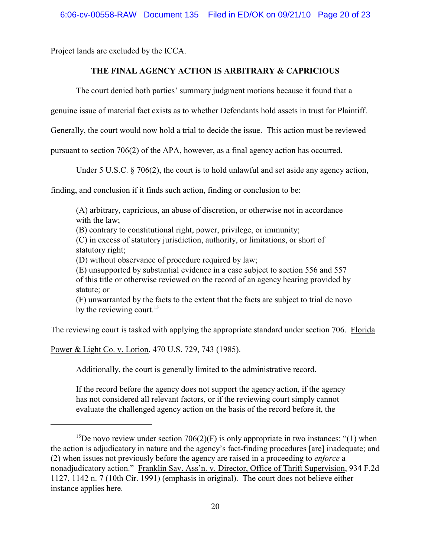Project lands are excluded by the ICCA.

# **THE FINAL AGENCY ACTION IS ARBITRARY & CAPRICIOUS**

The court denied both parties' summary judgment motions because it found that a

genuine issue of material fact exists as to whether Defendants hold assets in trust for Plaintiff.

Generally, the court would now hold a trial to decide the issue. This action must be reviewed

pursuant to section 706(2) of the APA, however, as a final agency action has occurred.

Under 5 U.S.C. § 706(2), the court is to hold unlawful and set aside any agency action,

finding, and conclusion if it finds such action, finding or conclusion to be:

(A) arbitrary, capricious, an abuse of discretion, or otherwise not in accordance with the law; (B) contrary to constitutional right, power, privilege, or immunity; (C) in excess of statutory jurisdiction, authority, or limitations, or short of statutory right; (D) without observance of procedure required by law; (E) unsupported by substantial evidence in a case subject to section 556 and 557 of this title or otherwise reviewed on the record of an agency hearing provided by statute; or (F) unwarranted by the facts to the extent that the facts are subject to trial de novo by the reviewing court.<sup>15</sup>

The reviewing court is tasked with applying the appropriate standard under section 706. Florida

Power & Light Co. v. Lorion, 470 U.S. 729, 743 (1985).

Additionally, the court is generally limited to the administrative record.

If the record before the agency does not support the agency action, if the agency has not considered all relevant factors, or if the reviewing court simply cannot evaluate the challenged agency action on the basis of the record before it, the

<sup>&</sup>lt;sup>15</sup>De novo review under section 706(2)(F) is only appropriate in two instances: "(1) when the action is adjudicatory in nature and the agency's fact-finding procedures [are] inadequate; and (2) when issues not previously before the agency are raised in a proceeding to *enforce* a nonadjudicatory action." Franklin Sav. Ass'n. v. Director, Office of Thrift Supervision, 934 F.2d 1127, 1142 n. 7 (10th Cir. 1991) (emphasis in original). The court does not believe either instance applies here.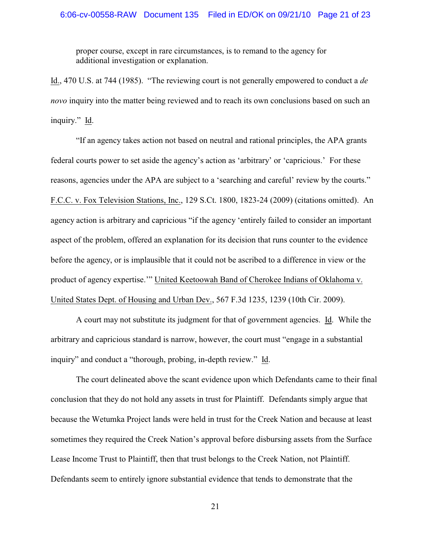# 6:06-cv-00558-RAW Document 135 Filed in ED/OK on 09/21/10 Page 21 of 23

proper course, except in rare circumstances, is to remand to the agency for additional investigation or explanation.

Id., 470 U.S. at 744 (1985). "The reviewing court is not generally empowered to conduct a *de novo* inquiry into the matter being reviewed and to reach its own conclusions based on such an inquiry." Id.

"If an agency takes action not based on neutral and rational principles, the APA grants federal courts power to set aside the agency's action as 'arbitrary' or 'capricious.' For these reasons, agencies under the APA are subject to a 'searching and careful' review by the courts." F.C.C. v. Fox Television Stations, Inc., 129 S.Ct. 1800, 1823-24 (2009) (citations omitted). An agency action is arbitrary and capricious "if the agency 'entirely failed to consider an important aspect of the problem, offered an explanation for its decision that runs counter to the evidence before the agency, or is implausible that it could not be ascribed to a difference in view or the product of agency expertise.'" United Keetoowah Band of Cherokee Indians of Oklahoma v. United States Dept. of Housing and Urban Dev., 567 F.3d 1235, 1239 (10th Cir. 2009).

A court may not substitute its judgment for that of government agencies. Id. While the arbitrary and capricious standard is narrow, however, the court must "engage in a substantial inquiry" and conduct a "thorough, probing, in-depth review." Id.

The court delineated above the scant evidence upon which Defendants came to their final conclusion that they do not hold any assets in trust for Plaintiff. Defendants simply argue that because the Wetumka Project lands were held in trust for the Creek Nation and because at least sometimes they required the Creek Nation's approval before disbursing assets from the Surface Lease Income Trust to Plaintiff, then that trust belongs to the Creek Nation, not Plaintiff. Defendants seem to entirely ignore substantial evidence that tends to demonstrate that the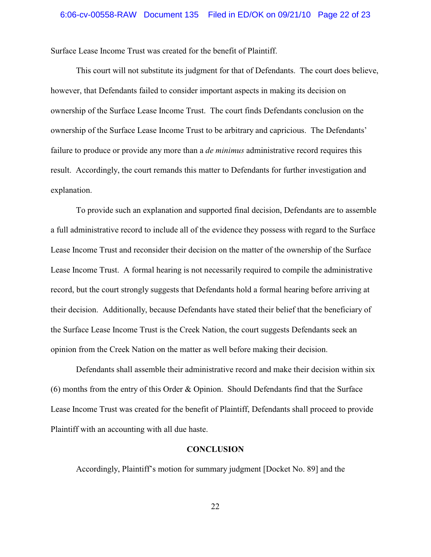Surface Lease Income Trust was created for the benefit of Plaintiff.

This court will not substitute its judgment for that of Defendants. The court does believe, however, that Defendants failed to consider important aspects in making its decision on ownership of the Surface Lease Income Trust. The court finds Defendants conclusion on the ownership of the Surface Lease Income Trust to be arbitrary and capricious. The Defendants' failure to produce or provide any more than a *de minimus* administrative record requires this result. Accordingly, the court remands this matter to Defendants for further investigation and explanation.

To provide such an explanation and supported final decision, Defendants are to assemble a full administrative record to include all of the evidence they possess with regard to the Surface Lease Income Trust and reconsider their decision on the matter of the ownership of the Surface Lease Income Trust. A formal hearing is not necessarily required to compile the administrative record, but the court strongly suggests that Defendants hold a formal hearing before arriving at their decision. Additionally, because Defendants have stated their belief that the beneficiary of the Surface Lease Income Trust is the Creek Nation, the court suggests Defendants seek an opinion from the Creek Nation on the matter as well before making their decision.

Defendants shall assemble their administrative record and make their decision within six (6) months from the entry of this Order & Opinion. Should Defendants find that the Surface Lease Income Trust was created for the benefit of Plaintiff, Defendants shall proceed to provide Plaintiff with an accounting with all due haste.

#### **CONCLUSION**

Accordingly, Plaintiff's motion for summary judgment [Docket No. 89] and the